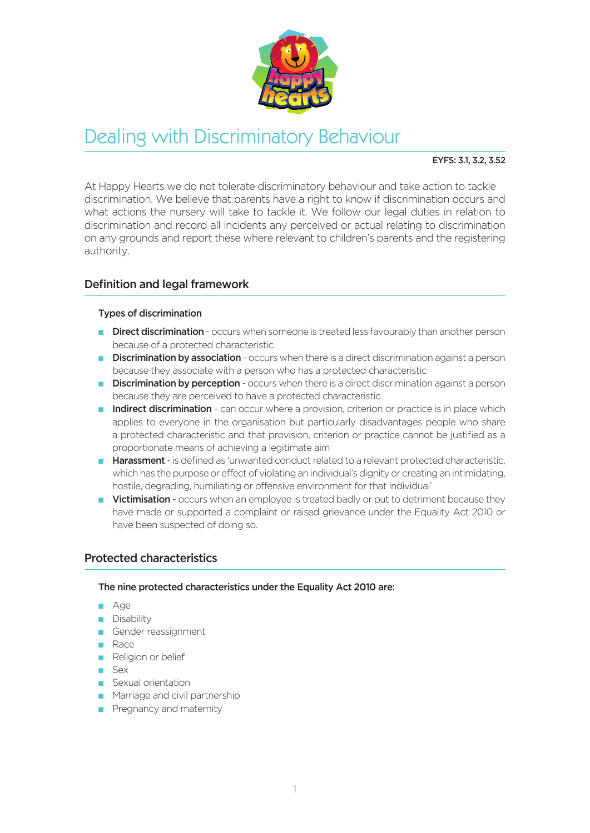

# Dealing with Discriminatory Behaviour

### EYFS: 3.1, 3.2, 3.52

At Happy Hearts we do not tolerate discriminatory behaviour and take action to tackle discrimination. We believe that parents have a right to know if discrimination occurs and what actions the nursery will take to tackle it. We follow our legal duties in relation to discrimination and record all incidents any perceived or actual relating to discrimination on any grounds and report these where relevant to children's parents and the registering authority.

## Definition and legal framework

## Types of discrimination

- **Direct discrimination** occurs when someone is treated less favourably than another person because of a protected characteristic
- **n Discrimination by association** occurs when there is a direct discrimination against a person because they associate with a person who has a protected characteristic
- **n Discrimination by perception** occurs when there is a direct discrimination against a person because they are perceived to have a protected characteristic
- **n Indirect discrimination** can occur where a provision, criterion or practice is in place which applies to everyone in the organisation but particularly disadvantages people who share a protected characteristic and that provision, criterion or practice cannot be justified as a proportionate means of achieving a legitimate aim
- **Harassment** is defined as 'unwanted conduct related to a relevant protected characteristic, which has the purpose or effect of violating an individual's dignity or creating an intimidating, hostile, degrading, humiliating or offensive environment for that individual'
- **Nictimisation** occurs when an employee is treated badly or put to detriment because they have made or supported a complaint or raised grievance under the Equality Act 2010 or have been suspected of doing so.

## Protected characteristics

#### The nine protected characteristics under the Equality Act 2010 are:

- n Age
- Disability
- **Gender reassignment**
- n Race
- **n** Religion or belief
- n Sex
- **n** Sexual orientation
- **n** Marriage and civil partnership
- **n** Pregnancy and maternity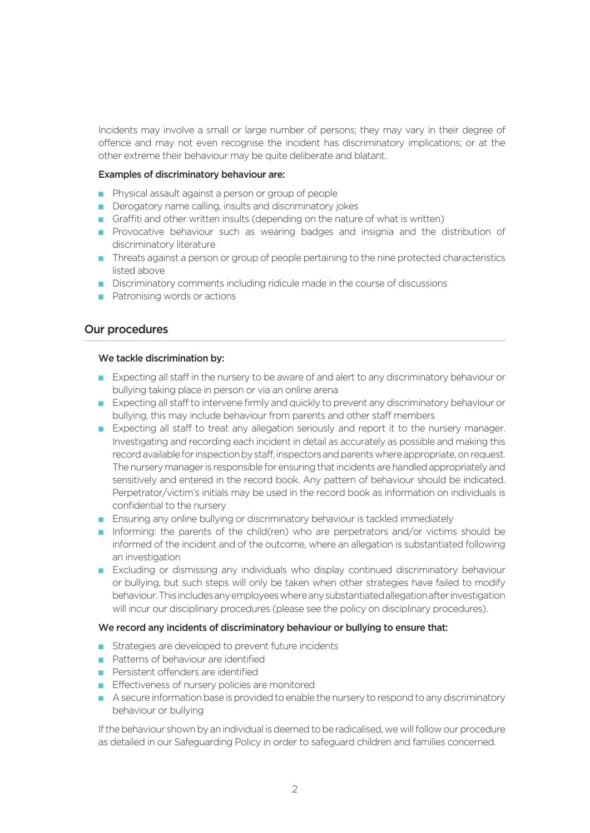Incidents may involve a small or large number of persons; they may vary in their degree of offence and may not even recognise the incident has discriminatory implications; or at the other extreme their behaviour may be quite deliberate and blatant.

#### Examples of discriminatory behaviour are:

- **n** Physical assault against a person or group of people
- **n** Derogatory name calling, insults and discriminatory jokes
- **n** Graffiti and other written insults (depending on the nature of what is written)
- n Provocative behaviour such as wearing badges and insignia and the distribution of discriminatory literature
- n Threats against a person or group of people pertaining to the nine protected characteristics listed above
- n Discriminatory comments including ridicule made in the course of discussions
- $\blacksquare$  Patronising words or actions

## Our procedures

#### We tackle discrimination by:

- **n** Expecting all staff in the nursery to be aware of and alert to any discriminatory behaviour or bullying taking place in person or via an online arena
- **n** Expecting all staff to intervene firmly and quickly to prevent any discriminatory behaviour or bullying, this may include behaviour from parents and other staff members
- n Expecting all staff to treat any allegation seriously and report it to the nursery manager. Investigating and recording each incident in detail as accurately as possible and making this record available for inspection by staff, inspectors and parents where appropriate, on request. The nursery manager is responsible for ensuring that incidents are handled appropriately and sensitively and entered in the record book. Any pattern of behaviour should be indicated. Perpetrator/victim's initials may be used in the record book as information on individuals is confidential to the nursery
- **n** Ensuring any online bullying or discriminatory behaviour is tackled immediately
- n Informing: the parents of the child(ren) who are perpetrators and/or victims should be informed of the incident and of the outcome, where an allegation is substantiated following an investigation
- **n** Excluding or dismissing any individuals who display continued discriminatory behaviour or bullying, but such steps will only be taken when other strategies have failed to modify behaviour. This includes any employees where any substantiated allegation after investigation will incur our disciplinary procedures (please see the policy on disciplinary procedures).

#### We record any incidents of discriminatory behaviour or bullying to ensure that:

- strategies are developed to prevent future incidents
- **n** Patterns of behaviour are identified
- n Persistent offenders are identified
- **FIGURER** Effectiveness of nursery policies are monitored
- A secure information base is provided to enable the nursery to respond to any discriminatory behaviour or bullying

If the behaviour shown by an individual is deemed to be radicalised, we will follow our procedure as detailed in our Safeguarding Policy in order to safeguard children and families concerned.